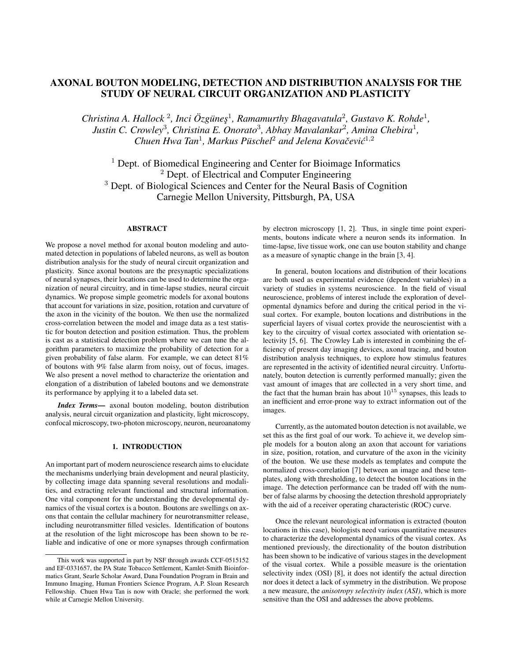# AXONAL BOUTON MODELING, DETECTION AND DISTRIBUTION ANALYSIS FOR THE STUDY OF NEURAL CIRCUIT ORGANIZATION AND PLASTICITY

*Christina A. Hallock*<sup>2</sup>, *Inci*  $\ddot{O}z$ güneş<sup>1</sup>, *Ramamurthy Bhagavatula*<sup>2</sup>, *Gustavo K. Rohde*<sup>1</sup>, Justin C. Crowley<sup>3</sup>, Christina E. Onorato<sup>3</sup>, Abhay Mavalankar<sup>2</sup>, Amina Chebira<sup>1</sup>, *Chuen Hwa Tan<sup>1</sup>, Markus Püschel<sup>2</sup> and Jelena Kovačević<sup>1,2</sup>* 

<sup>1</sup> Dept. of Biomedical Engineering and Center for Bioimage Informatics <sup>2</sup> Dept. of Electrical and Computer Engineering <sup>3</sup> Dept. of Biological Sciences and Center for the Neural Basis of Cognition Carnegie Mellon University, Pittsburgh, PA, USA

# ABSTRACT

We propose a novel method for axonal bouton modeling and automated detection in populations of labeled neurons, as well as bouton distribution analysis for the study of neural circuit organization and plasticity. Since axonal boutons are the presynaptic specializations of neural synapses, their locations can be used to determine the organization of neural circuitry, and in time-lapse studies, neural circuit dynamics. We propose simple geometric models for axonal boutons that account for variations in size, position, rotation and curvature of the axon in the vicinity of the bouton. We then use the normalized cross-correlation between the model and image data as a test statistic for bouton detection and position estimation. Thus, the problem is cast as a statistical detection problem where we can tune the algorithm parameters to maximize the probability of detection for a given probability of false alarm. For example, we can detect 81% of boutons with 9% false alarm from noisy, out of focus, images. We also present a novel method to characterize the orientation and elongation of a distribution of labeled boutons and we demonstrate its performance by applying it to a labeled data set.

*Index Terms*— axonal bouton modeling, bouton distribution analysis, neural circuit organization and plasticity, light microscopy, confocal microscopy, two-photon microscopy, neuron, neuroanatomy

### 1. INTRODUCTION

An important part of modern neuroscience research aims to elucidate the mechanisms underlying brain development and neural plasticity, by collecting image data spanning several resolutions and modalities, and extracting relevant functional and structural information. One vital component for the understanding the developmental dynamics of the visual cortex is a bouton. Boutons are swellings on axons that contain the cellular machinery for neurotransmitter release, including neurotransmitter filled vesicles. Identification of boutons at the resolution of the light microscope has been shown to be reliable and indicative of one or more synapses through confirmation by electron microscopy [1, 2]. Thus, in single time point experiments, boutons indicate where a neuron sends its information. In time-lapse, live tissue work, one can use bouton stability and change as a measure of synaptic change in the brain [3, 4].

In general, bouton locations and distribution of their locations are both used as experimental evidence (dependent variables) in a variety of studies in systems neuroscience. In the field of visual neuroscience, problems of interest include the exploration of developmental dynamics before and during the critical period in the visual cortex. For example, bouton locations and distributions in the superficial layers of visual cortex provide the neuroscientist with a key to the circuitry of visual cortex associated with orientation selectivity [5, 6]. The Crowley Lab is interested in combining the efficiency of present day imaging devices, axonal tracing, and bouton distribution analysis techniques, to explore how stimulus features are represented in the activity of identified neural circuitry. Unfortunately, bouton detection is currently performed manually; given the vast amount of images that are collected in a very short time, and the fact that the human brain has about  $10^{15}$  synapses, this leads to an inefficient and error-prone way to extract information out of the images.

Currently, as the automated bouton detection is not available, we set this as the first goal of our work. To achieve it, we develop simple models for a bouton along an axon that account for variations in size, position, rotation, and curvature of the axon in the vicinity of the bouton. We use these models as templates and compute the normalized cross-correlation [7] between an image and these templates, along with thresholding, to detect the bouton locations in the image. The detection performance can be traded off with the number of false alarms by choosing the detection threshold appropriately with the aid of a receiver operating characteristic (ROC) curve.

Once the relevant neurological information is extracted (bouton locations in this case), biologists need various quantitative measures to characterize the developmental dynamics of the visual cortex. As mentioned previously, the directionality of the bouton distribution has been shown to be indicative of various stages in the development of the visual cortex. While a possible measure is the orientation selectivity index (OSI) [8], it does not identify the actual direction nor does it detect a lack of symmetry in the distribution. We propose a new measure, the *anisotropy selectivity index (ASI)*, which is more sensitive than the OSI and addresses the above problems.

This work was supported in part by NSF through awards CCF-0515152 and EF-0331657, the PA State Tobacco Settlement, Kamlet-Smith Bioinformatics Grant, Searle Scholar Award, Dana Foundation Program in Brain and Immuno Imaging, Human Frontiers Science Program, A.P. Sloan Research Fellowship. Chuen Hwa Tan is now with Oracle; she performed the work while at Carnegie Mellon University.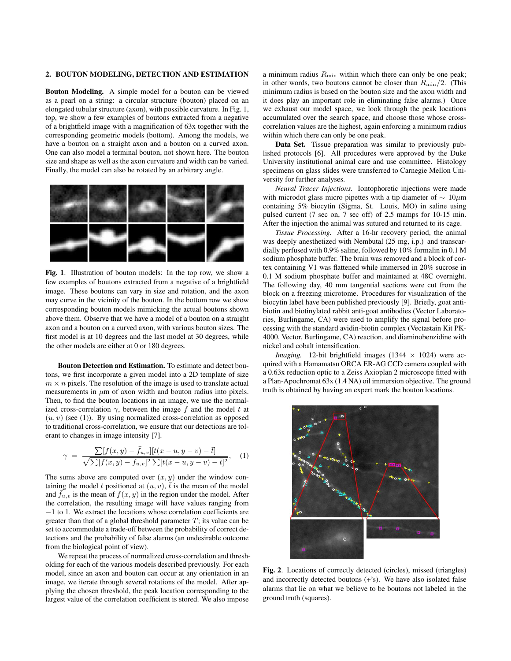## 2. BOUTON MODELING, DETECTION AND ESTIMATION

Bouton Modeling. A simple model for a bouton can be viewed as a pearl on a string: a circular structure (bouton) placed on an elongated tubular structure (axon), with possible curvature. In Fig. 1, top, we show a few examples of boutons extracted from a negative of a brightfield image with a magnification of 63x together with the corresponding geometric models (bottom). Among the models, we have a bouton on a straight axon and a bouton on a curved axon. One can also model a terminal bouton, not shown here. The bouton size and shape as well as the axon curvature and width can be varied. Finally, the model can also be rotated by an arbitrary angle.



Fig. 1. Illustration of bouton models: In the top row, we show a few examples of boutons extracted from a negative of a brightfield image. These boutons can vary in size and rotation, and the axon may curve in the vicinity of the bouton. In the bottom row we show corresponding bouton models mimicking the actual boutons shown above them. Observe that we have a model of a bouton on a straight axon and a bouton on a curved axon, with various bouton sizes. The first model is at 10 degrees and the last model at 30 degrees, while the other models are either at 0 or 180 degrees.

Bouton Detection and Estimation. To estimate and detect boutons, we first incorporate a given model into a 2D template of size  $m \times n$  pixels. The resolution of the image is used to translate actual measurements in  $\mu$ m of axon width and bouton radius into pixels. Then, to find the bouton locations in an image, we use the normalized cross-correlation  $\gamma$ , between the image f and the model t at  $(u, v)$  (see (1)). By using normalized cross-correlation as opposed to traditional cross-correlation, we ensure that our detections are tolerant to changes in image intensity [7].

$$
\gamma = \frac{\sum [f(x,y) - \bar{f}_{u,v}][t(x-u,y-v) - \bar{t}]}{\sqrt{\sum [f(x,y) - \bar{f}_{u,v}]^2 \sum [t(x-u,y-v) - \bar{t}]^2}}, \quad (1)
$$

The sums above are computed over  $(x, y)$  under the window containing the model t positioned at  $(u, v)$ ,  $\bar{t}$  is the mean of the model and  $\bar{f}_{u,v}$  is the mean of  $f(x, y)$  in the region under the model. After the correlation, the resulting image will have values ranging from −1 to 1. We extract the locations whose correlation coefficients are greater than that of a global threshold parameter  $T$ ; its value can be set to accommodate a trade-off between the probability of correct detections and the probability of false alarms (an undesirable outcome from the biological point of view).

We repeat the process of normalized cross-correlation and thresholding for each of the various models described previously. For each model, since an axon and bouton can occur at any orientation in an image, we iterate through several rotations of the model. After applying the chosen threshold, the peak location corresponding to the largest value of the correlation coefficient is stored. We also impose

a minimum radius  $R_{\text{min}}$  within which there can only be one peak; in other words, two boutons cannot be closer than  $R_{\text{min}}/2$ . (This minimum radius is based on the bouton size and the axon width and it does play an important role in eliminating false alarms.) Once we exhaust our model space, we look through the peak locations accumulated over the search space, and choose those whose crosscorrelation values are the highest, again enforcing a minimum radius within which there can only be one peak.

Data Set. Tissue preparation was similar to previously published protocols [6]. All procedures were approved by the Duke University institutional animal care and use committee. Histology specimens on glass slides were transferred to Carnegie Mellon University for further analyses.

*Neural Tracer Injections.* Iontophoretic injections were made with microdot glass micro pipettes with a tip diameter of  $\sim 10 \mu m$ containing 5% biocytin (Sigma, St. Louis, MO) in saline using pulsed current (7 sec on, 7 sec off) of 2.5 mamps for 10-15 min. After the injection the animal was sutured and returned to its cage.

*Tissue Processing.* After a 16-hr recovery period, the animal was deeply anesthetized with Nembutal (25 mg, i.p.) and transcardially perfused with 0.9% saline, followed by 10% formalin in 0.1 M sodium phosphate buffer. The brain was removed and a block of cortex containing V1 was flattened while immersed in 20% sucrose in 0.1 M sodium phosphate buffer and maintained at 48C overnight. The following day, 40 mm tangential sections were cut from the block on a freezing microtome. Procedures for visualization of the biocytin label have been published previously [9]. Briefly, goat antibiotin and biotinylated rabbit anti-goat antibodies (Vector Laboratories, Burlingame, CA) were used to amplify the signal before processing with the standard avidin-biotin complex (Vectastain Kit PK-4000, Vector, Burlingame, CA) reaction, and diaminobenzidine with nickel and cobalt intensification.

*Imaging.* 12-bit brightfield images (1344  $\times$  1024) were acquired with a Hamamatsu ORCA ER-AG CCD camera coupled with a 0.63x reduction optic to a Zeiss Axioplan 2 microscope fitted with a Plan-Apochromat 63x (1.4 NA) oil immersion objective. The ground truth is obtained by having an expert mark the bouton locations.



Fig. 2. Locations of correctly detected (circles), missed (triangles) and incorrectly detected boutons (+'s). We have also isolated false alarms that lie on what we believe to be boutons not labeled in the ground truth (squares).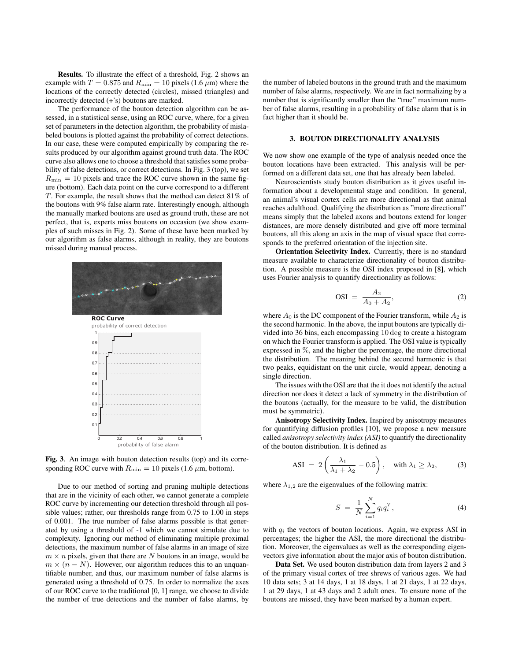Results. To illustrate the effect of a threshold, Fig. 2 shows an example with  $T = 0.875$  and  $R_{\text{min}} = 10$  pixels (1.6  $\mu$ m) where the locations of the correctly detected (circles), missed (triangles) and incorrectly detected (+'s) boutons are marked.

The performance of the bouton detection algorithm can be assessed, in a statistical sense, using an ROC curve, where, for a given set of parameters in the detection algorithm, the probability of mislabeled boutons is plotted against the probability of correct detections. In our case, these were computed empirically by comparing the results produced by our algorithm against ground truth data. The ROC curve also allows one to choose a threshold that satisfies some probability of false detections, or correct detections. In Fig. 3 (top), we set  $R_{\text{min}} = 10$  pixels and trace the ROC curve shown in the same figure (bottom). Each data point on the curve correspond to a different T. For example, the result shows that the method can detect 81% of the boutons with 9% false alarm rate. Interestingly enough, although the manually marked boutons are used as ground truth, these are not perfect, that is, experts miss boutons on occasion (we show examples of such misses in Fig. 2). Some of these have been marked by our algorithm as false alarms, although in reality, they are boutons missed during manual process.



Fig. 3. An image with bouton detection results (top) and its corresponding ROC curve with  $R_{\text{min}} = 10$  pixels (1.6  $\mu$ m, bottom).

Due to our method of sorting and pruning multiple detections that are in the vicinity of each other, we cannot generate a complete ROC curve by incrementing our detection threshold through all possible values; rather, our thresholds range from 0.75 to 1.00 in steps of 0.001. The true number of false alarms possible is that generated by using a threshold of -1 which we cannot simulate due to complexity. Ignoring our method of eliminating multiple proximal detections, the maximum number of false alarms in an image of size  $m \times n$  pixels, given that there are N boutons in an image, would be  $m \times (n - N)$ . However, our algorithm reduces this to an unquantifiable number, and thus, our maximum number of false alarms is generated using a threshold of 0.75. In order to normalize the axes of our ROC curve to the traditional [0, 1] range, we choose to divide the number of true detections and the number of false alarms, by

the number of labeled boutons in the ground truth and the maximum number of false alarms, respectively. We are in fact normalizing by a number that is significantly smaller than the "true" maximum number of false alarms, resulting in a probability of false alarm that is in fact higher than it should be.

# 3. BOUTON DIRECTIONALITY ANALYSIS

We now show one example of the type of analysis needed once the bouton locations have been extracted. This analysis will be performed on a different data set, one that has already been labeled.

Neuroscientists study bouton distribution as it gives useful information about a developmental stage and condition. In general, an animal's visual cortex cells are more directional as that animal reaches adulthood. Qualifying the distribution as "more directional" means simply that the labeled axons and boutons extend for longer distances, are more densely distributed and give off more terminal boutons, all this along an axis in the map of visual space that corresponds to the preferred orientation of the injection site.

Orientation Selectivity Index. Currently, there is no standard measure available to characterize directionality of bouton distribution. A possible measure is the OSI index proposed in [8], which uses Fourier analysis to quantify directionality as follows:

$$
OSI = \frac{A_2}{A_0 + A_2},
$$
 (2)

where  $A_0$  is the DC component of the Fourier transform, while  $A_2$  is the second harmonic. In the above, the input boutons are typically divided into 36 bins, each encompassing 10 deg to create a histogram on which the Fourier transform is applied. The OSI value is typically expressed in %, and the higher the percentage, the more directional the distribution. The meaning behind the second harmonic is that two peaks, equidistant on the unit circle, would appear, denoting a single direction.

The issues with the OSI are that the it does not identify the actual direction nor does it detect a lack of symmetry in the distribution of the boutons (actually, for the measure to be valid, the distribution must be symmetric).

Anisotropy Selectivity Index. Inspired by anisotropy measures for quantifying diffusion profiles [10], we propose a new measure called *anisotropy selectivity index (ASI)* to quantify the directionality of the bouton distribution. It is defined as

$$
ASI = 2\left(\frac{\lambda_1}{\lambda_1 + \lambda_2} - 0.5\right), \quad \text{with } \lambda_1 \ge \lambda_2,\tag{3}
$$

where  $\lambda_{1,2}$  are the eigenvalues of the following matrix:

$$
S = \frac{1}{N} \sum_{i=1}^{N} q_i q_i^T,
$$
 (4)

with  $q_i$  the vectors of bouton locations. Again, we express ASI in percentages; the higher the ASI, the more directional the distribution. Moreover, the eigenvalues as well as the corresponding eigenvectors give information about the major axis of bouton distribution.

Data Set. We used bouton distribution data from layers 2 and 3 of the primary visual cortex of tree shrews of various ages. We had 10 data sets; 3 at 14 days, 1 at 18 days, 1 at 21 days, 1 at 22 days, 1 at 29 days, 1 at 43 days and 2 adult ones. To ensure none of the boutons are missed, they have been marked by a human expert.